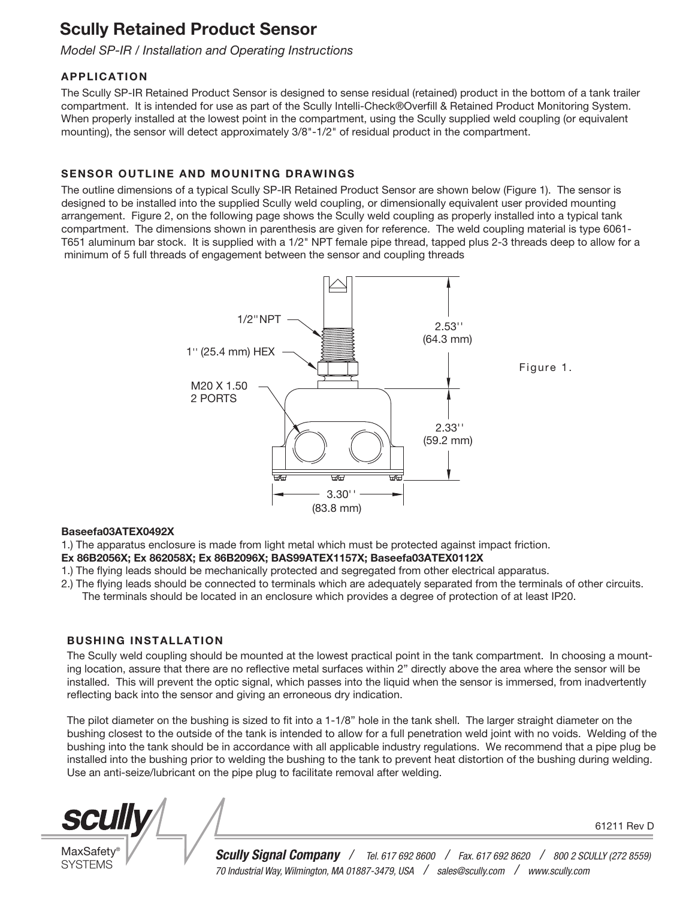# Scully Retained Product Sensor

*Model SP-IR / Installation and Operating Instructions*

## APPLICATION

The Scully SP-IR Retained Product Sensor is designed to sense residual (retained) product in the bottom of a tank trailer compartment. It is intended for use as part of the Scully Intelli-Check®Overfill & Retained Product Monitoring System. When properly installed at the lowest point in the compartment, using the Scully supplied weld coupling (or equivalent mounting), the sensor will detect approximately 3/8"-1/2" of residual product in the compartment.

## SENSOR OUTLINE AND MOUNITNG DRAWINGS

The outline dimensions of a typical Scully SP-IR Retained Product Sensor are shown below (Figure 1). The sensor is designed to be installed into the supplied Scully weld coupling, or dimensionally equivalent user provided mounting arrangement. Figure 2, on the following page shows the Scully weld coupling as properly installed into a typical tank compartment. The dimensions shown in parenthesis are given for reference. The weld coupling material is type 6061- T651 aluminum bar stock. It is supplied with a 1/2" NPT female pipe thread, tapped plus 2-3 threads deep to allow for a minimum of 5 full threads of engagement between the sensor and coupling threads



### Baseefa03ATEX0492X

1.) The apparatus enclosure is made from light metal which must be protected against impact friction.

- Ex 86B2056X; Ex 862058X; Ex 86B2096X; BAS99ATEX1157X; Baseefa03ATEX0112X
- 1.) The flying leads should be mechanically protected and segregated from other electrical apparatus.
- 2.) The flying leads should be connected to terminals which are adequately separated from the terminals of other circuits. The terminals should be located in an enclosure which provides a degree of protection of at least IP20.

## BUSHING INSTALLATION

The Scully weld coupling should be mounted at the lowest practical point in the tank compartment. In choosing a mounting location, assure that there are no reflective metal surfaces within 2" directly above the area where the sensor will be installed. This will prevent the optic signal, which passes into the liquid when the sensor is immersed, from inadvertently reflecting back into the sensor and giving an erroneous dry indication.

The pilot diameter on the bushing is sized to fit into a 1-1/8" hole in the tank shell. The larger straight diameter on the bushing closest to the outside of the tank is intended to allow for a full penetration weld joint with no voids. Welding of the bushing into the tank should be in accordance with all applicable industry regulations. We recommend that a pipe plug be installed into the bushing prior to welding the bushing to the tank to prevent heat distortion of the bushing during welding. Use an anti-seize/lubricant on the pipe plug to facilitate removal after welding.

**SCUII** 

**MaxSafety SYSTEMS** 

*Scully Signal Company / Tel. 617 692 8600 / Fax. 617 692 8620 / 800 2 SCULLY (272 8559) 70 Industrial Way, Wilmington, MA 01887-3479, USA / sales@scully.com / www.scully.com*

61211 Rev D